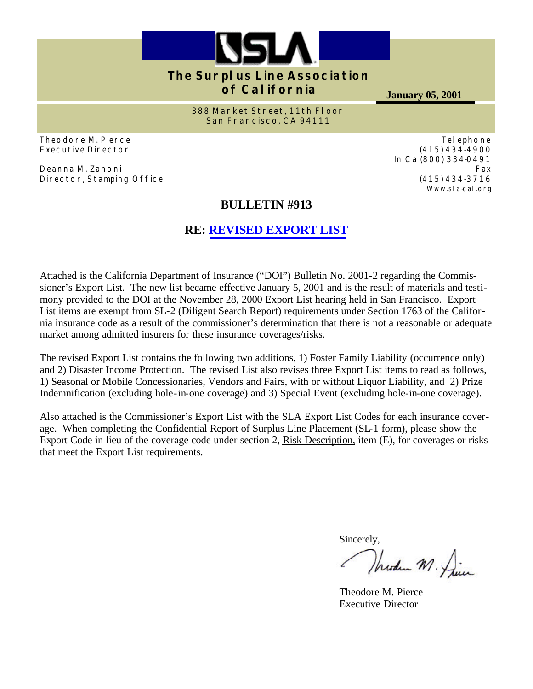

# **The Surplus Line Association of California**

**January 05, 2001**

Telephone (415) 434-4900 In Ca (800) 334-0491

> (415) 434-3716 Www.sla-cal.org

Fax

**388 Market Street, 11th Floor San Francisco, CA 94111**

Theodore M. Pierce Executive Director

Deanna M. Zanoni Director, Stamping Office

# **BULLETIN #913**

# **RE: [REVISED EXPORT LIST](http://www.sla-cal.org/list/cdiexport2001.htm)**

Attached is the California Department of Insurance ("DOI") Bulletin No. 2001-2 regarding the Commissioner's Export List. The new list became effective January 5, 2001 and is the result of materials and testimony provided to the DOI at the November 28, 2000 Export List hearing held in San Francisco. Export List items are exempt from SL-2 (Diligent Search Report) requirements under Section 1763 of the California insurance code as a result of the commissioner's determination that there is not a reasonable or adequate market among admitted insurers for these insurance coverages/risks.

The revised Export List contains the following two additions, 1) Foster Family Liability (occurrence only) and 2) Disaster Income Protection. The revised List also revises three Export List items to read as follows, 1) Seasonal or Mobile Concessionaries, Vendors and Fairs, with or without Liquor Liability, and 2) Prize Indemnification (excluding hole-in-one coverage) and 3) Special Event (excluding hole-in-one coverage).

Also attached is the Commissioner's Export List with the SLA Export List Codes for each insurance coverage. When completing the Confidential Report of Surplus Line Placement (SL-1 form), please show the Export Code in lieu of the coverage code under section 2, Risk Description, item (E), for coverages or risks that meet the Export List requirements.

Sincerely,

Wreden M. Die

Theodore M. Pierce Executive Director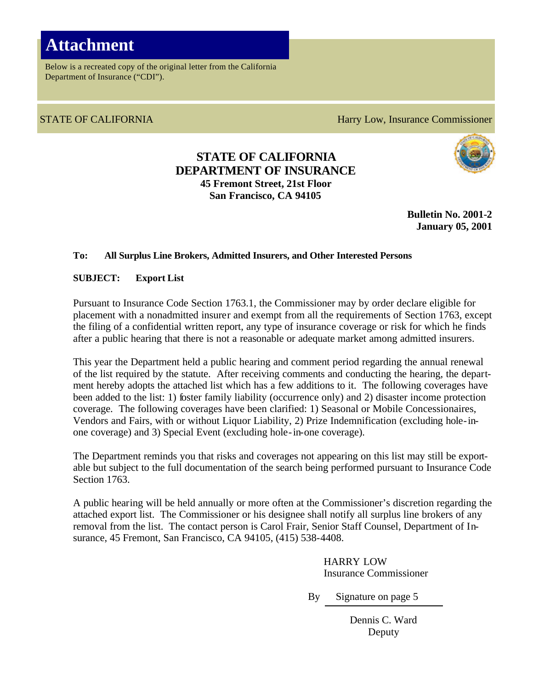# **Attachment**

Below is a recreated copy of the original letter from the California Department of Insurance ("CDI").

STATE OF CALIFORNIA **Harry Low, Insurance Commissioner** 

### **STATE OF CALIFORNIA DEPARTMENT OF INSURANCE 45 Fremont Street, 21st Floor San Francisco, CA 94105**



**Bulletin No. 2001-2 January 05, 2001**

#### **To: All Surplus Line Brokers, Admitted Insurers, and Other Interested Persons**

**SUBJECT: Export List**

Pursuant to Insurance Code Section 1763.1, the Commissioner may by order declare eligible for placement with a nonadmitted insurer and exempt from all the requirements of Section 1763, except the filing of a confidential written report, any type of insurance coverage or risk for which he finds after a public hearing that there is not a reasonable or adequate market among admitted insurers.

This year the Department held a public hearing and comment period regarding the annual renewal of the list required by the statute. After receiving comments and conducting the hearing, the department hereby adopts the attached list which has a few additions to it. The following coverages have been added to the list: 1) foster family liability (occurrence only) and 2) disaster income protection coverage. The following coverages have been clarified: 1) Seasonal or Mobile Concessionaires, Vendors and Fairs, with or without Liquor Liability, 2) Prize Indemnification (excluding hole-inone coverage) and 3) Special Event (excluding hole-in-one coverage).

The Department reminds you that risks and coverages not appearing on this list may still be exportable but subject to the full documentation of the search being performed pursuant to Insurance Code Section 1763.

A public hearing will be held annually or more often at the Commissioner's discretion regarding the attached export list. The Commissioner or his designee shall notify all surplus line brokers of any removal from the list. The contact person is Carol Frair, Senior Staff Counsel, Department of Insurance, 45 Fremont, San Francisco, CA 94105, (415) 538-4408.

> HARRY LOW Insurance Commissioner

By Signature on page 5

Dennis C. Ward Deputy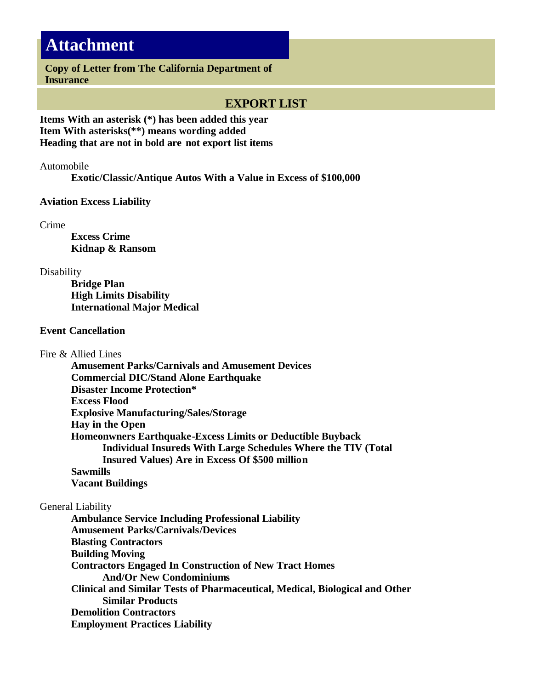# **Attachment**

**Copy of Letter from The California Department of Insurance**

### **EXPORT LIST**

**Items With an asterisk (\*) has been added this year Item With asterisks(\*\*) means wording added Heading that are not in bold are not export list items**

Automobile

 **Exotic/Classic/Antique Autos With a Value in Excess of \$100,000**

**Aviation Excess Liability**

Crime

 **Excess Crime Kidnap & Ransom**

Disability

 **Bridge Plan High Limits Disability International Major Medical**

#### **Event Cancellation**

Fire & Allied Lines

 **Amusement Parks/Carnivals and Amusement Devices Commercial DIC/Stand Alone Earthquake Disaster Income Protection\* Excess Flood Explosive Manufacturing/Sales/Storage Hay in the Open Homeonwners Earthquake-Excess Limits or Deductible Buyback Individual Insureds With Large Schedules Where the TIV (Total Insured Values) Are in Excess Of \$500 million Sawmills Vacant Buildings**

#### General Liability

 **Ambulance Service Including Professional Liability Amusement Parks/Carnivals/Devices Blasting Contractors Building Moving Contractors Engaged In Construction of New Tract Homes And/Or New Condominiums Clinical and Similar Tests of Pharmaceutical, Medical, Biological and Other Similar Products Demolition Contractors Employment Practices Liability**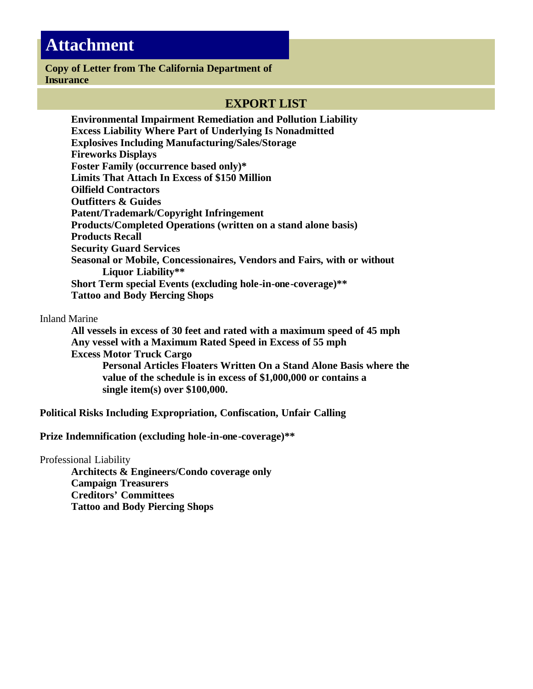# **Attachment**

#### **Copy of Letter from The California Department of Insurance**

### **EXPORT LIST**

 **Environmental Impairment Remediation and Pollution Liability Excess Liability Where Part of Underlying Is Nonadmitted Explosives Including Manufacturing/Sales/Storage Fireworks Displays Foster Family (occurrence based only)\* Limits That Attach In Excess of \$150 Million Oilfield Contractors Outfitters & Guides Patent/Trademark/Copyright Infringement Products/Completed Operations (written on a stand alone basis) Products Recall Security Guard Services Seasonal or Mobile, Concessionaires, Vendors and Fairs, with or without Liquor Liability\*\* Short Term special Events (excluding hole-in-one-coverage)\*\* Tattoo and Body Piercing Shops**

Inland Marine

 **All vessels in excess of 30 feet and rated with a maximum speed of 45 mph Any vessel with a Maximum Rated Speed in Excess of 55 mph Excess Motor Truck Cargo Personal Articles Floaters Written On a Stand Alone Basis where the value of the schedule is in excess of \$1,000,000 or contains a single item(s) over \$100,000.**

**Political Risks Including Expropriation, Confiscation, Unfair Calling**

**Prize Indemnification (excluding hole-in-one-coverage)\*\***

Professional Liability

 **Architects & Engineers/Condo coverage only Campaign Treasurers Creditors' Committees Tattoo and Body Piercing Shops**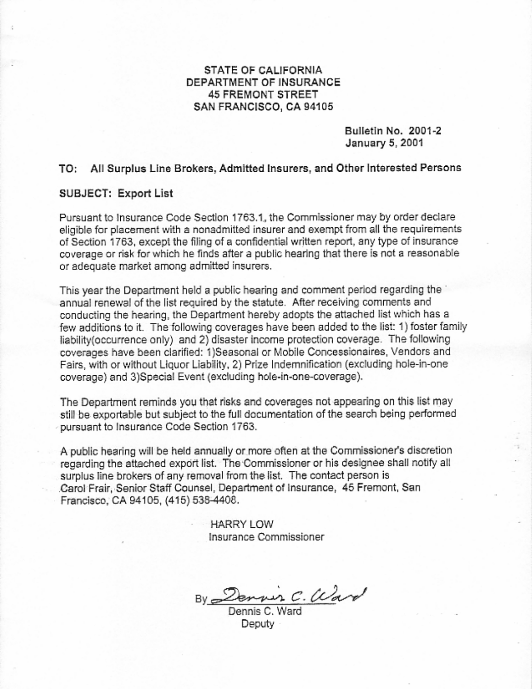### STATE OF CALIFORNIA DEPARTMENT OF INSURANCE **45 FREMONT STREET** SAN FRANCISCO, CA 94105

Bulletin No. 2001-2 January 5, 2001

#### TO: All Surplus Line Brokers, Admitted Insurers, and Other Interested Persons

#### **SUBJECT: Export List**

Pursuant to Insurance Code Section 1763.1, the Commissioner may by order declare eligible for placement with a nonadmitted insurer and exempt from all the requirements of Section 1763, except the filing of a confidential written report, any type of insurance coverage or risk for which he finds after a public hearing that there is not a reasonable or adequate market among admitted insurers.

This year the Department held a public hearing and comment period regarding the annual renewal of the list required by the statute. After receiving comments and conducting the hearing, the Department hereby adopts the attached list which has a few additions to it. The following coverages have been added to the list: 1) foster family liability(occurrence only) and 2) disaster income protection coverage. The following coverages have been clarified: 1)Seasonal or Mobile Concessionaires, Vendors and Fairs, with or without Liquor Liability, 2) Prize Indemnification (excluding hole-in-one coverage) and 3)Special Event (excluding hole-in-one-coverage).

The Department reminds you that risks and coverages not appearing on this list may still be exportable but subject to the full documentation of the search being performed pursuant to Insurance Code Section 1763.

A public hearing will be held annually or more often at the Commissioner's discretion regarding the attached export list. The Commissioner or his designee shall notify all surplus line brokers of any removal from the list. The contact person is Carol Frair, Senior Staff Counsel, Department of Insurance, 45 Fremont, San Francisco, CA 94105, (415) 538-4408.

> **HARRY LOW** Insurance Commissioner

By Dennis C. Ward

Deputy -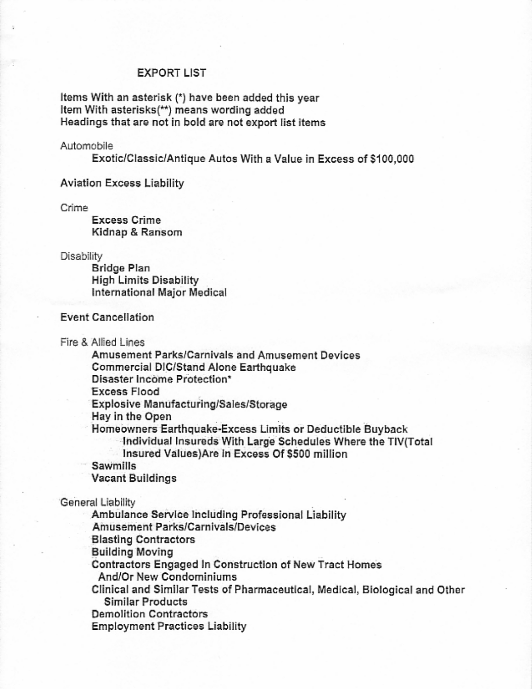#### **EXPORT LIST**

Items With an asterisk (\*) have been added this year Item With asterisks(\*\*) means wording added Headings that are not in bold are not export list items

#### Automobile

Exotic/Classic/Antique Autos With a Value in Excess of \$100,000

#### **Aviation Excess Liability**

Crime

**Excess Crime** Kidnap & Ransom

Disability

**Bridge Plan High Limits Disability** International Major Medical

#### **Event Cancellation**

Fire & Allied Lines

Amusement Parks/Carnivals and Amusement Devices

**Commercial DIC/Stand Alone Earthquake** 

Disaster Income Protection\*

**Excess Flood** 

Explosive Manufacturing/Sales/Storage

Hay in the Open

Homeowners Earthquake-Excess Limits or Deductible Buyback

Individual Insureds With Large Schedules Where the TIV(Total

Insured Values) Are in Excess Of \$500 million

Sawmills

Vacant Buildings

General Liability

Ambulance Service Including Professional Liability Amusement Parks/Carnivals/Devices **Blasting Contractors Building Moving** Contractors Engaged In Construction of New Tract Homes And/Or New Condominiums Clinical and Similar Tests of Pharmaceutical, Medical, Biological and Other Similar Products **Demolition Contractors** 

**Employment Practices Liability**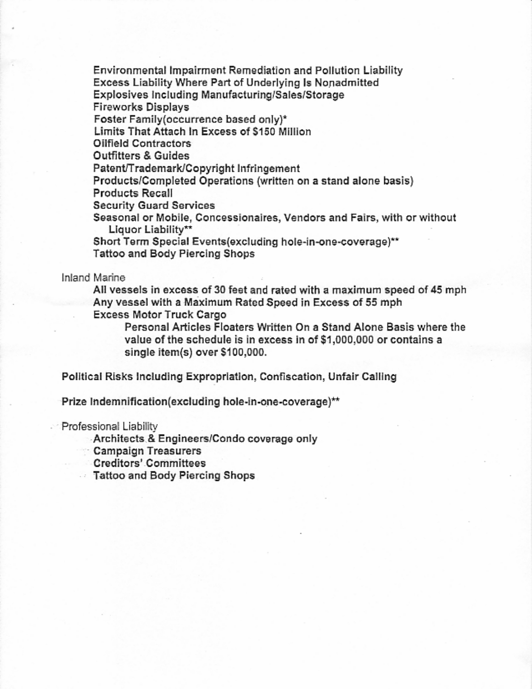**Environmental Impairment Remediation and Pollution Liability** Excess Liability Where Part of Underlying Is Nonadmitted Explosives Including Manufacturing/Sales/Storage **Fireworks Displays** Foster Family(occurrence based only)\* Limits That Attach In Excess of \$150 Million Oilfield Contractors **Outfitters & Guides** Patent/Trademark/Copyright Infringement Products/Completed Operations (written on a stand alone basis) **Products Recall Security Guard Services** 

Seasonal or Mobile, Concessionaires, Vendors and Fairs, with or without Liquor Liability\*\*

Short Term Special Events(excluding hole-in-one-coverage)\*\* Tattoo and Body Piercing Shops

Inland Marine

All vessels in excess of 30 feet and rated with a maximum speed of 45 mph Any vessel with a Maximum Rated Speed in Excess of 55 mph

**Excess Motor Truck Cargo** 

Personal Articles Floaters Written On a Stand Alone Basis where the value of the schedule is in excess in of \$1,000,000 or contains a single item(s) over \$100,000.

Political Risks Including Expropriation, Confiscation, Unfair Calling

Prize Indemnification(excluding hole-in-one-coverage)\*\*

Professional Liability

Architects & Engineers/Condo coverage only

Campaign Treasurers

**Creditors' Committees** 

Tattoo and Body Piercing Shops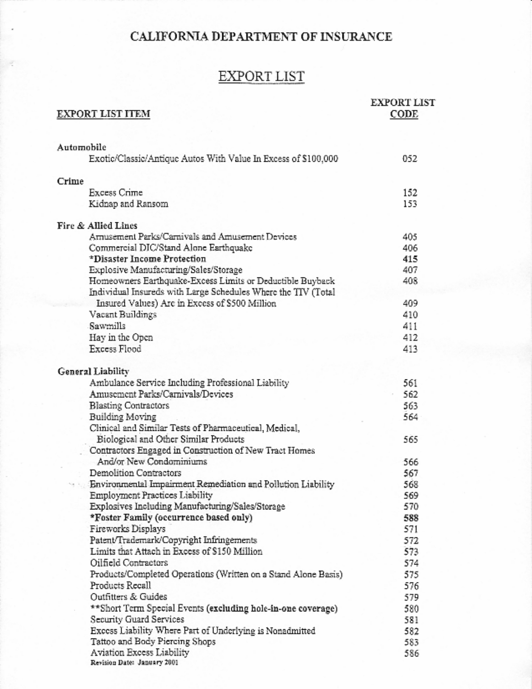# CALIFORNIA DEPARTMENT OF INSURANCE

# EXPORT LIST

| <b>EXPORT LIST ITEM</b>                                        | <b>EXPORT LIST</b><br>CODE |
|----------------------------------------------------------------|----------------------------|
| Automobile                                                     |                            |
| Exotic/Classic/Antique Autos With Value In Excess of \$100,000 | 052                        |
| Crime                                                          |                            |
| Excess Crime                                                   | 152                        |
| Kidnap and Ransom                                              | 153                        |
| Fire & Allied Lines                                            |                            |
| Arnusement Parks/Carnivals and Amusement Devices               | 405                        |
| Commercial DIC/Stand Alone Earthquake                          | 406                        |
| *Disaster Income Protection                                    | 415                        |
| Explosive Manufacturing/Sales/Storage                          | 407                        |
| Homeowners Earthquake-Excess Limits or Deductible Buyback      | 408                        |
| Individual Insureds with Large Schedules Where the TIV (Total  |                            |
| Insured Values) Are in Excess of \$500 Million                 | 409                        |
| Vacant Buildings                                               | 410                        |
| Sawmills                                                       | 411                        |
| Hay in the Open                                                | 412                        |
| <b>Excess Flood</b>                                            | 413                        |
| General Liability                                              |                            |
| Ambulance Service Including Professional Liability             | 561                        |
| Amusement Parks/Carnivals/Devices                              | 562                        |
| <b>Blasting Contractors</b>                                    | 563                        |
| Building Moving                                                | 564                        |
| Clinical and Similar Tests of Pharmaceutical, Medical,         |                            |
| Biological and Other Similar Products                          | 565                        |
| Contractors Engaged in Construction of New Tract Homes         |                            |
| And/or New Condominiums                                        | 566                        |
| <b>Demolition Contractors</b>                                  | 567                        |
| Environmental Impairment Remediation and Pollution Liability   | 568                        |
| <b>Employment Practices Liability</b>                          | 569                        |
| Explosives Including Manufacturing/Sales/Storage               | 570                        |
| *Foster Family (occurrence based only)                         | 588                        |
| Fireworks Displays                                             | 571                        |
| Patent/Trademark/Copyright Infringements                       | 572                        |
| Limits that Attach in Excess of \$150 Million                  | 573                        |
| Oilfield Contractors                                           | 574                        |
| Products/Completed Operations (Written on a Stand Alone Basis) | 575                        |
| Products Recall                                                | 576                        |
| Outfitters & Guides                                            | 579                        |
| **Short Term Special Events (excluding hole-in-one coverage)   | 580                        |
| Security Guard Services                                        | 581                        |
| Excess Liability Where Part of Underlying is Nonadmitted       | 582                        |
| Tattoo and Body Piercing Shops                                 | 583                        |
| Aviation Excess Liability<br>Revision Date: January 2001       | 586                        |
|                                                                |                            |